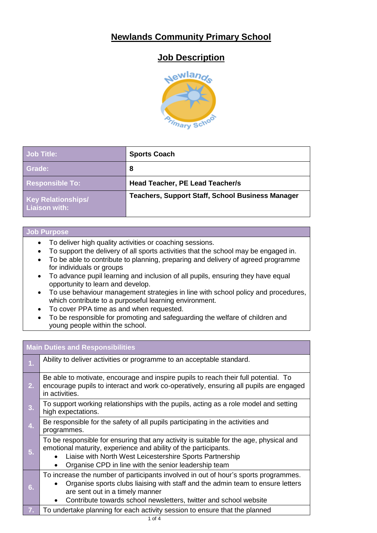### **Newlands Community Primary School**

## **Job Description**



| <b>Job Title:</b>                                 | <b>Sports Coach</b>                                     |
|---------------------------------------------------|---------------------------------------------------------|
| Grade:                                            | 8                                                       |
| <b>Responsible To:</b>                            | Head Teacher, PE Lead Teacher/s                         |
| <b>Key Relationships/</b><br><b>Liaison with:</b> | <b>Teachers, Support Staff, School Business Manager</b> |

#### **Job Purpose**

- To deliver high quality activities or coaching sessions.
- To support the delivery of all sports activities that the school may be engaged in.
- To be able to contribute to planning, preparing and delivery of agreed programme for individuals or groups
- To advance pupil learning and inclusion of all pupils, ensuring they have equal opportunity to learn and develop.
- To use behaviour management strategies in line with school policy and procedures, which contribute to a purposeful learning environment.
- To cover PPA time as and when requested.
- To be responsible for promoting and safeguarding the welfare of children and young people within the school.

| <b>Main Duties and Responsibilities</b> |                                                                                                                                                                                                                                                                               |  |
|-----------------------------------------|-------------------------------------------------------------------------------------------------------------------------------------------------------------------------------------------------------------------------------------------------------------------------------|--|
| 1.                                      | Ability to deliver activities or programme to an acceptable standard.                                                                                                                                                                                                         |  |
| 2.                                      | Be able to motivate, encourage and inspire pupils to reach their full potential. To<br>encourage pupils to interact and work co-operatively, ensuring all pupils are engaged<br>in activities.                                                                                |  |
| 3.                                      | To support working relationships with the pupils, acting as a role model and setting<br>high expectations.                                                                                                                                                                    |  |
| 4.                                      | Be responsible for the safety of all pupils participating in the activities and<br>programmes.                                                                                                                                                                                |  |
| 5.                                      | To be responsible for ensuring that any activity is suitable for the age, physical and<br>emotional maturity, experience and ability of the participants.<br>Liaise with North West Leicestershire Sports Partnership<br>Organise CPD in line with the senior leadership team |  |
| 6.                                      | To increase the number of participants involved in out of hour's sports programmes.<br>Organise sports clubs liaising with staff and the admin team to ensure letters<br>are sent out in a timely manner<br>Contribute towards school newsletters, twitter and school website |  |
| 7.                                      | To undertake planning for each activity session to ensure that the planned                                                                                                                                                                                                    |  |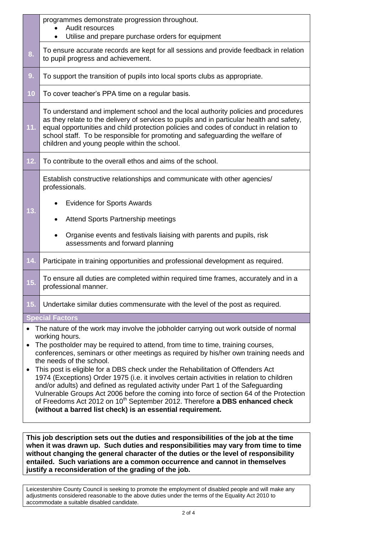|           | This job description sets out the duties and responsibilities of the job at the time<br>when it was drawn up. Such duties and responsibilities may vary from time to time                                                                                                                                                                                                                                                                                                                                                                                                                                                                                                                                                                                                                                                                                        |  |  |  |  |
|-----------|------------------------------------------------------------------------------------------------------------------------------------------------------------------------------------------------------------------------------------------------------------------------------------------------------------------------------------------------------------------------------------------------------------------------------------------------------------------------------------------------------------------------------------------------------------------------------------------------------------------------------------------------------------------------------------------------------------------------------------------------------------------------------------------------------------------------------------------------------------------|--|--|--|--|
| $\bullet$ | <b>Special Factors</b><br>The nature of the work may involve the jobholder carrying out work outside of normal<br>working hours.<br>The postholder may be required to attend, from time to time, training courses,<br>conferences, seminars or other meetings as required by his/her own training needs and<br>the needs of the school.<br>This post is eligible for a DBS check under the Rehabilitation of Offenders Act<br>1974 (Exceptions) Order 1975 (i.e. it involves certain activities in relation to children<br>and/or adults) and defined as regulated activity under Part 1 of the Safeguarding<br>Vulnerable Groups Act 2006 before the coming into force of section 64 of the Protection<br>of Freedoms Act 2012 on 10 <sup>th</sup> September 2012. Therefore a DBS enhanced check<br>(without a barred list check) is an essential requirement. |  |  |  |  |
| 15.       | Undertake similar duties commensurate with the level of the post as required.                                                                                                                                                                                                                                                                                                                                                                                                                                                                                                                                                                                                                                                                                                                                                                                    |  |  |  |  |
| 15.       | To ensure all duties are completed within required time frames, accurately and in a<br>professional manner.                                                                                                                                                                                                                                                                                                                                                                                                                                                                                                                                                                                                                                                                                                                                                      |  |  |  |  |
| 14.       | Participate in training opportunities and professional development as required.                                                                                                                                                                                                                                                                                                                                                                                                                                                                                                                                                                                                                                                                                                                                                                                  |  |  |  |  |
| 13.       | professionals.<br><b>Evidence for Sports Awards</b><br><b>Attend Sports Partnership meetings</b><br>Organise events and festivals liaising with parents and pupils, risk<br>assessments and forward planning                                                                                                                                                                                                                                                                                                                                                                                                                                                                                                                                                                                                                                                     |  |  |  |  |
|           | Establish constructive relationships and communicate with other agencies/                                                                                                                                                                                                                                                                                                                                                                                                                                                                                                                                                                                                                                                                                                                                                                                        |  |  |  |  |
| 12.       | To contribute to the overall ethos and aims of the school.                                                                                                                                                                                                                                                                                                                                                                                                                                                                                                                                                                                                                                                                                                                                                                                                       |  |  |  |  |
| 11.       | To understand and implement school and the local authority policies and procedures<br>as they relate to the delivery of services to pupils and in particular health and safety,<br>equal opportunities and child protection policies and codes of conduct in relation to<br>school staff. To be responsible for promoting and safeguarding the welfare of<br>children and young people within the school.                                                                                                                                                                                                                                                                                                                                                                                                                                                        |  |  |  |  |
| 10        | To cover teacher's PPA time on a regular basis.                                                                                                                                                                                                                                                                                                                                                                                                                                                                                                                                                                                                                                                                                                                                                                                                                  |  |  |  |  |
| 9.        | To support the transition of pupils into local sports clubs as appropriate.                                                                                                                                                                                                                                                                                                                                                                                                                                                                                                                                                                                                                                                                                                                                                                                      |  |  |  |  |
| 8.        | To ensure accurate records are kept for all sessions and provide feedback in relation<br>to pupil progress and achievement.                                                                                                                                                                                                                                                                                                                                                                                                                                                                                                                                                                                                                                                                                                                                      |  |  |  |  |
|           | programmes demonstrate progression throughout.<br>Audit resources<br>Utilise and prepare purchase orders for equipment<br>$\bullet$                                                                                                                                                                                                                                                                                                                                                                                                                                                                                                                                                                                                                                                                                                                              |  |  |  |  |
|           |                                                                                                                                                                                                                                                                                                                                                                                                                                                                                                                                                                                                                                                                                                                                                                                                                                                                  |  |  |  |  |

**when it was drawn up. Such duties and responsibilities may vary from time to time without changing the general character of the duties or the level of responsibility entailed. Such variations are a common occurrence and cannot in themselves justify a reconsideration of the grading of the job.**

Leicestershire County Council is seeking to promote the employment of disabled people and will make any adjustments considered reasonable to the above duties under the terms of the Equality Act 2010 to accommodate a suitable disabled candidate.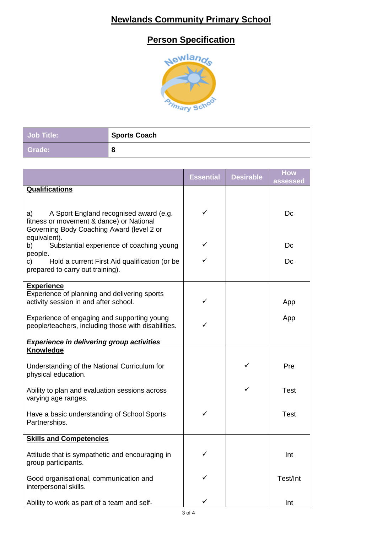# **Newlands Community Primary School**

## **Person Specification**



| <b>Job Title:</b> | Sports Coach |
|-------------------|--------------|
| Grade:            |              |

|                                                                                                                                       | <b>Essential</b> | <b>Desirable</b> | <b>How</b><br>assessed |
|---------------------------------------------------------------------------------------------------------------------------------------|------------------|------------------|------------------------|
| <b>Qualifications</b>                                                                                                                 |                  |                  |                        |
| A Sport England recognised award (e.g.<br>a)<br>fitness or movement & dance) or National<br>Governing Body Coaching Award (level 2 or | ✓                |                  | Dc                     |
| equivalent).<br>Substantial experience of coaching young<br>b)                                                                        | ✓                |                  | Dc                     |
| people.<br>Hold a current First Aid qualification (or be<br>c)<br>prepared to carry out training).                                    | ✓                |                  | Dc                     |
| <b>Experience</b><br>Experience of planning and delivering sports<br>activity session in and after school.                            | ✓                |                  | App                    |
| Experience of engaging and supporting young<br>people/teachers, including those with disabilities.                                    |                  |                  | App                    |
| <b>Experience in delivering group activities</b>                                                                                      |                  |                  |                        |
| <b>Knowledge</b>                                                                                                                      |                  |                  |                        |
| Understanding of the National Curriculum for<br>physical education.                                                                   |                  | ✓                | Pre                    |
| Ability to plan and evaluation sessions across<br>varying age ranges.                                                                 |                  | ✓                | <b>Test</b>            |
| Have a basic understanding of School Sports<br>Partnerships.                                                                          | ✓                |                  | <b>Test</b>            |
| <b>Skills and Competencies</b>                                                                                                        |                  |                  |                        |
| Attitude that is sympathetic and encouraging in<br>group participants.                                                                | $\checkmark$     |                  | Int                    |
| Good organisational, communication and<br>interpersonal skills.                                                                       |                  |                  | Test/Int               |
| Ability to work as part of a team and self-                                                                                           | ✓                |                  | Int                    |